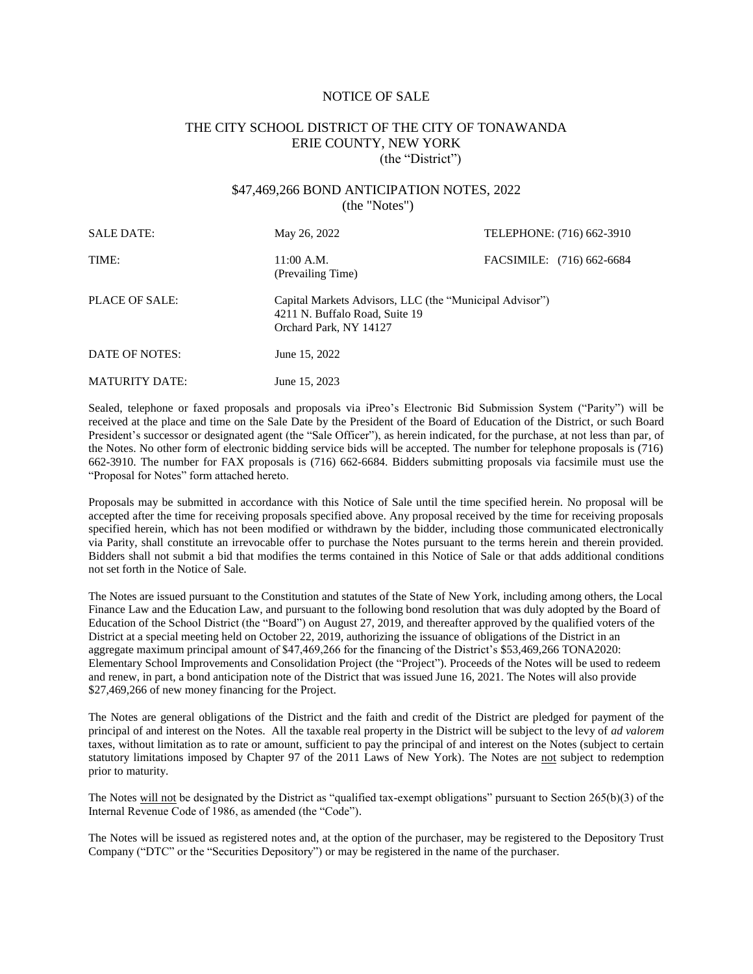#### NOTICE OF SALE

## THE CITY SCHOOL DISTRICT OF THE CITY OF TONAWANDA ERIE COUNTY, NEW YORK (the "District")

## \$47,469,266 BOND ANTICIPATION NOTES, 2022 (the "Notes")

| <b>SALE DATE:</b>     | May 26, 2022                                             | TELEPHONE: (716) 662-3910                               |  |  |
|-----------------------|----------------------------------------------------------|---------------------------------------------------------|--|--|
| TIME:                 | 11:00 A.M.<br>(Prevailing Time)                          | FACSIMILE: (716) 662-6684                               |  |  |
| <b>PLACE OF SALE:</b> | 4211 N. Buffalo Road, Suite 19<br>Orchard Park, NY 14127 | Capital Markets Advisors, LLC (the "Municipal Advisor") |  |  |
| DATE OF NOTES:        | June 15, 2022                                            |                                                         |  |  |
| <b>MATURITY DATE:</b> | June 15, 2023                                            |                                                         |  |  |

Sealed, telephone or faxed proposals and proposals via iPreo's Electronic Bid Submission System ("Parity") will be received at the place and time on the Sale Date by the President of the Board of Education of the District, or such Board President's successor or designated agent (the "Sale Officer"), as herein indicated, for the purchase, at not less than par, of the Notes. No other form of electronic bidding service bids will be accepted. The number for telephone proposals is (716) 662-3910. The number for FAX proposals is (716) 662-6684. Bidders submitting proposals via facsimile must use the "Proposal for Notes" form attached hereto.

Proposals may be submitted in accordance with this Notice of Sale until the time specified herein. No proposal will be accepted after the time for receiving proposals specified above. Any proposal received by the time for receiving proposals specified herein, which has not been modified or withdrawn by the bidder, including those communicated electronically via Parity, shall constitute an irrevocable offer to purchase the Notes pursuant to the terms herein and therein provided. Bidders shall not submit a bid that modifies the terms contained in this Notice of Sale or that adds additional conditions not set forth in the Notice of Sale.

The Notes are issued pursuant to the Constitution and statutes of the State of New York, including among others, the Local Finance Law and the Education Law, and pursuant to the following bond resolution that was duly adopted by the Board of Education of the School District (the "Board") on August 27, 2019, and thereafter approved by the qualified voters of the District at a special meeting held on October 22, 2019, authorizing the issuance of obligations of the District in an aggregate maximum principal amount of \$47,469,266 for the financing of the District's \$53,469,266 TONA2020: Elementary School Improvements and Consolidation Project (the "Project"). Proceeds of the Notes will be used to redeem and renew, in part, a bond anticipation note of the District that was issued June 16, 2021. The Notes will also provide \$27,469,266 of new money financing for the Project.

The Notes are general obligations of the District and the faith and credit of the District are pledged for payment of the principal of and interest on the Notes. All the taxable real property in the District will be subject to the levy of *ad valorem* taxes, without limitation as to rate or amount, sufficient to pay the principal of and interest on the Notes (subject to certain statutory limitations imposed by Chapter 97 of the 2011 Laws of New York). The Notes are not subject to redemption prior to maturity.

The Notes will not be designated by the District as "qualified tax-exempt obligations" pursuant to Section 265(b)(3) of the Internal Revenue Code of 1986, as amended (the "Code").

The Notes will be issued as registered notes and, at the option of the purchaser, may be registered to the Depository Trust Company ("DTC" or the "Securities Depository") or may be registered in the name of the purchaser.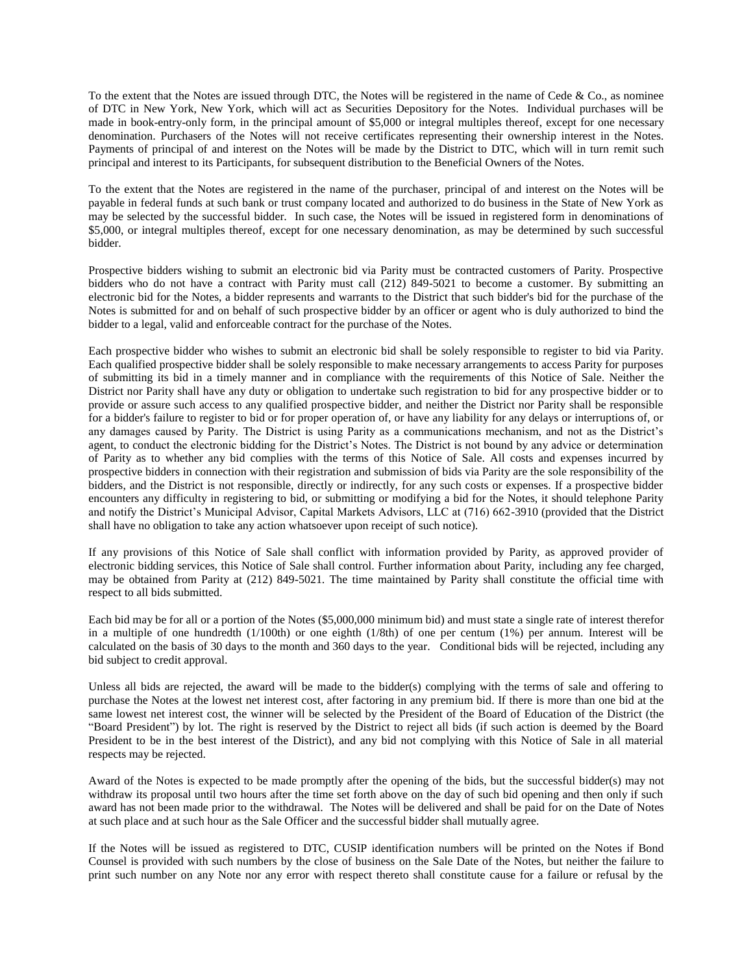To the extent that the Notes are issued through DTC, the Notes will be registered in the name of Cede & Co., as nominee of DTC in New York, New York, which will act as Securities Depository for the Notes. Individual purchases will be made in book-entry-only form, in the principal amount of \$5,000 or integral multiples thereof, except for one necessary denomination. Purchasers of the Notes will not receive certificates representing their ownership interest in the Notes. Payments of principal of and interest on the Notes will be made by the District to DTC, which will in turn remit such principal and interest to its Participants, for subsequent distribution to the Beneficial Owners of the Notes.

To the extent that the Notes are registered in the name of the purchaser, principal of and interest on the Notes will be payable in federal funds at such bank or trust company located and authorized to do business in the State of New York as may be selected by the successful bidder. In such case, the Notes will be issued in registered form in denominations of \$5,000, or integral multiples thereof, except for one necessary denomination, as may be determined by such successful bidder.

Prospective bidders wishing to submit an electronic bid via Parity must be contracted customers of Parity. Prospective bidders who do not have a contract with Parity must call (212) 849-5021 to become a customer. By submitting an electronic bid for the Notes, a bidder represents and warrants to the District that such bidder's bid for the purchase of the Notes is submitted for and on behalf of such prospective bidder by an officer or agent who is duly authorized to bind the bidder to a legal, valid and enforceable contract for the purchase of the Notes.

Each prospective bidder who wishes to submit an electronic bid shall be solely responsible to register to bid via Parity. Each qualified prospective bidder shall be solely responsible to make necessary arrangements to access Parity for purposes of submitting its bid in a timely manner and in compliance with the requirements of this Notice of Sale. Neither the District nor Parity shall have any duty or obligation to undertake such registration to bid for any prospective bidder or to provide or assure such access to any qualified prospective bidder, and neither the District nor Parity shall be responsible for a bidder's failure to register to bid or for proper operation of, or have any liability for any delays or interruptions of, or any damages caused by Parity. The District is using Parity as a communications mechanism, and not as the District's agent, to conduct the electronic bidding for the District's Notes. The District is not bound by any advice or determination of Parity as to whether any bid complies with the terms of this Notice of Sale. All costs and expenses incurred by prospective bidders in connection with their registration and submission of bids via Parity are the sole responsibility of the bidders, and the District is not responsible, directly or indirectly, for any such costs or expenses. If a prospective bidder encounters any difficulty in registering to bid, or submitting or modifying a bid for the Notes, it should telephone Parity and notify the District's Municipal Advisor, Capital Markets Advisors, LLC at (716) 662-3910 (provided that the District shall have no obligation to take any action whatsoever upon receipt of such notice).

If any provisions of this Notice of Sale shall conflict with information provided by Parity, as approved provider of electronic bidding services, this Notice of Sale shall control. Further information about Parity, including any fee charged, may be obtained from Parity at (212) 849-5021. The time maintained by Parity shall constitute the official time with respect to all bids submitted.

Each bid may be for all or a portion of the Notes (\$5,000,000 minimum bid) and must state a single rate of interest therefor in a multiple of one hundredth (1/100th) or one eighth (1/8th) of one per centum (1%) per annum. Interest will be calculated on the basis of 30 days to the month and 360 days to the year. Conditional bids will be rejected, including any bid subject to credit approval.

Unless all bids are rejected, the award will be made to the bidder(s) complying with the terms of sale and offering to purchase the Notes at the lowest net interest cost, after factoring in any premium bid. If there is more than one bid at the same lowest net interest cost, the winner will be selected by the President of the Board of Education of the District (the "Board President") by lot. The right is reserved by the District to reject all bids (if such action is deemed by the Board President to be in the best interest of the District), and any bid not complying with this Notice of Sale in all material respects may be rejected.

Award of the Notes is expected to be made promptly after the opening of the bids, but the successful bidder(s) may not withdraw its proposal until two hours after the time set forth above on the day of such bid opening and then only if such award has not been made prior to the withdrawal. The Notes will be delivered and shall be paid for on the Date of Notes at such place and at such hour as the Sale Officer and the successful bidder shall mutually agree.

If the Notes will be issued as registered to DTC, CUSIP identification numbers will be printed on the Notes if Bond Counsel is provided with such numbers by the close of business on the Sale Date of the Notes, but neither the failure to print such number on any Note nor any error with respect thereto shall constitute cause for a failure or refusal by the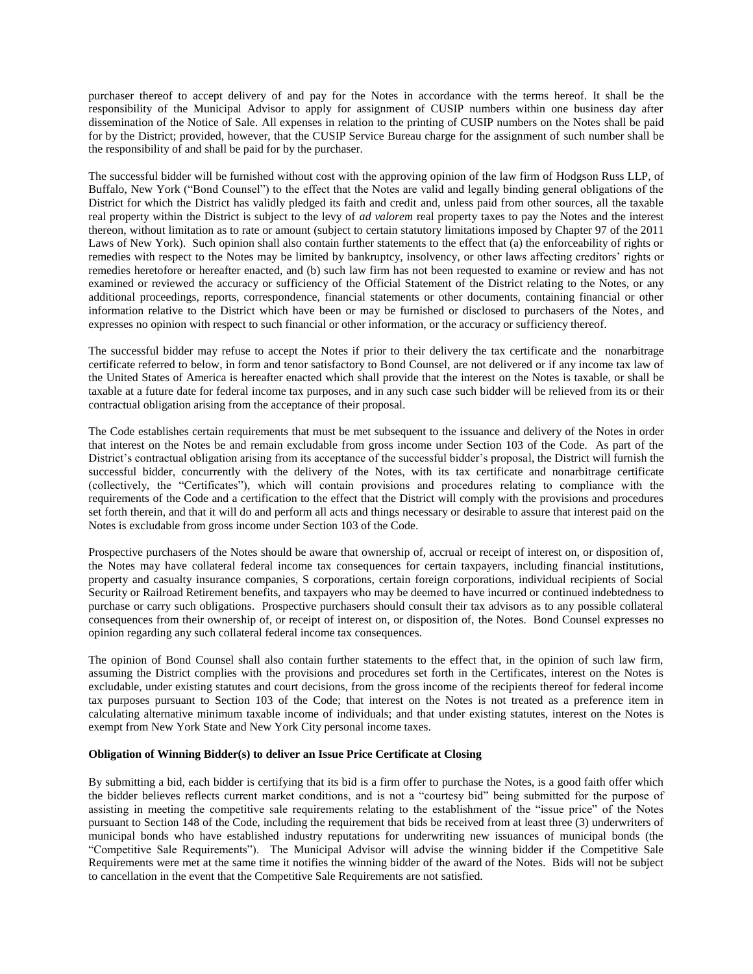purchaser thereof to accept delivery of and pay for the Notes in accordance with the terms hereof. It shall be the responsibility of the Municipal Advisor to apply for assignment of CUSIP numbers within one business day after dissemination of the Notice of Sale. All expenses in relation to the printing of CUSIP numbers on the Notes shall be paid for by the District; provided, however, that the CUSIP Service Bureau charge for the assignment of such number shall be the responsibility of and shall be paid for by the purchaser.

The successful bidder will be furnished without cost with the approving opinion of the law firm of Hodgson Russ LLP, of Buffalo, New York ("Bond Counsel") to the effect that the Notes are valid and legally binding general obligations of the District for which the District has validly pledged its faith and credit and, unless paid from other sources, all the taxable real property within the District is subject to the levy of *ad valorem* real property taxes to pay the Notes and the interest thereon, without limitation as to rate or amount (subject to certain statutory limitations imposed by Chapter 97 of the 2011 Laws of New York). Such opinion shall also contain further statements to the effect that (a) the enforceability of rights or remedies with respect to the Notes may be limited by bankruptcy, insolvency, or other laws affecting creditors' rights or remedies heretofore or hereafter enacted, and (b) such law firm has not been requested to examine or review and has not examined or reviewed the accuracy or sufficiency of the Official Statement of the District relating to the Notes, or any additional proceedings, reports, correspondence, financial statements or other documents, containing financial or other information relative to the District which have been or may be furnished or disclosed to purchasers of the Notes, and expresses no opinion with respect to such financial or other information, or the accuracy or sufficiency thereof.

The successful bidder may refuse to accept the Notes if prior to their delivery the tax certificate and the nonarbitrage certificate referred to below, in form and tenor satisfactory to Bond Counsel, are not delivered or if any income tax law of the United States of America is hereafter enacted which shall provide that the interest on the Notes is taxable, or shall be taxable at a future date for federal income tax purposes, and in any such case such bidder will be relieved from its or their contractual obligation arising from the acceptance of their proposal.

The Code establishes certain requirements that must be met subsequent to the issuance and delivery of the Notes in order that interest on the Notes be and remain excludable from gross income under Section 103 of the Code. As part of the District's contractual obligation arising from its acceptance of the successful bidder's proposal, the District will furnish the successful bidder, concurrently with the delivery of the Notes, with its tax certificate and nonarbitrage certificate (collectively, the "Certificates"), which will contain provisions and procedures relating to compliance with the requirements of the Code and a certification to the effect that the District will comply with the provisions and procedures set forth therein, and that it will do and perform all acts and things necessary or desirable to assure that interest paid on the Notes is excludable from gross income under Section 103 of the Code.

Prospective purchasers of the Notes should be aware that ownership of, accrual or receipt of interest on, or disposition of, the Notes may have collateral federal income tax consequences for certain taxpayers, including financial institutions, property and casualty insurance companies, S corporations, certain foreign corporations, individual recipients of Social Security or Railroad Retirement benefits, and taxpayers who may be deemed to have incurred or continued indebtedness to purchase or carry such obligations. Prospective purchasers should consult their tax advisors as to any possible collateral consequences from their ownership of, or receipt of interest on, or disposition of, the Notes. Bond Counsel expresses no opinion regarding any such collateral federal income tax consequences.

The opinion of Bond Counsel shall also contain further statements to the effect that, in the opinion of such law firm, assuming the District complies with the provisions and procedures set forth in the Certificates, interest on the Notes is excludable, under existing statutes and court decisions, from the gross income of the recipients thereof for federal income tax purposes pursuant to Section 103 of the Code; that interest on the Notes is not treated as a preference item in calculating alternative minimum taxable income of individuals; and that under existing statutes, interest on the Notes is exempt from New York State and New York City personal income taxes.

#### **Obligation of Winning Bidder(s) to deliver an Issue Price Certificate at Closing**

By submitting a bid, each bidder is certifying that its bid is a firm offer to purchase the Notes, is a good faith offer which the bidder believes reflects current market conditions, and is not a "courtesy bid" being submitted for the purpose of assisting in meeting the competitive sale requirements relating to the establishment of the "issue price" of the Notes pursuant to Section 148 of the Code, including the requirement that bids be received from at least three (3) underwriters of municipal bonds who have established industry reputations for underwriting new issuances of municipal bonds (the "Competitive Sale Requirements"). The Municipal Advisor will advise the winning bidder if the Competitive Sale Requirements were met at the same time it notifies the winning bidder of the award of the Notes. Bids will not be subject to cancellation in the event that the Competitive Sale Requirements are not satisfied.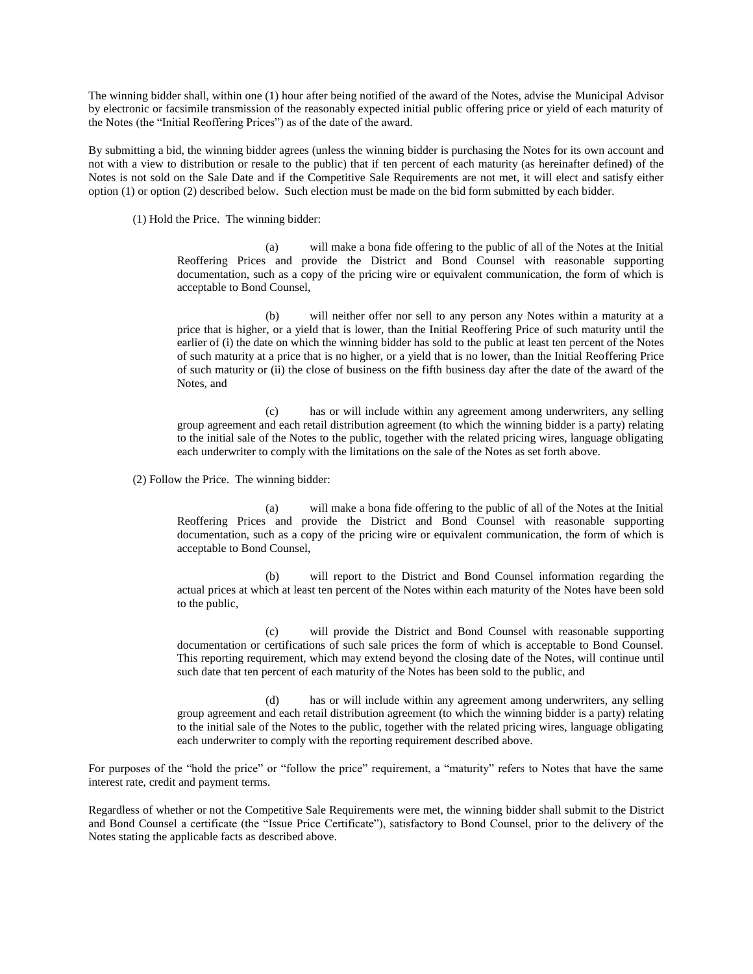The winning bidder shall, within one (1) hour after being notified of the award of the Notes, advise the Municipal Advisor by electronic or facsimile transmission of the reasonably expected initial public offering price or yield of each maturity of the Notes (the "Initial Reoffering Prices") as of the date of the award.

By submitting a bid, the winning bidder agrees (unless the winning bidder is purchasing the Notes for its own account and not with a view to distribution or resale to the public) that if ten percent of each maturity (as hereinafter defined) of the Notes is not sold on the Sale Date and if the Competitive Sale Requirements are not met, it will elect and satisfy either option (1) or option (2) described below. Such election must be made on the bid form submitted by each bidder.

(1) Hold the Price. The winning bidder:

(a) will make a bona fide offering to the public of all of the Notes at the Initial Reoffering Prices and provide the District and Bond Counsel with reasonable supporting documentation, such as a copy of the pricing wire or equivalent communication, the form of which is acceptable to Bond Counsel,

(b) will neither offer nor sell to any person any Notes within a maturity at a price that is higher, or a yield that is lower, than the Initial Reoffering Price of such maturity until the earlier of (i) the date on which the winning bidder has sold to the public at least ten percent of the Notes of such maturity at a price that is no higher, or a yield that is no lower, than the Initial Reoffering Price of such maturity or (ii) the close of business on the fifth business day after the date of the award of the Notes, and

(c) has or will include within any agreement among underwriters, any selling group agreement and each retail distribution agreement (to which the winning bidder is a party) relating to the initial sale of the Notes to the public, together with the related pricing wires, language obligating each underwriter to comply with the limitations on the sale of the Notes as set forth above.

(2) Follow the Price. The winning bidder:

(a) will make a bona fide offering to the public of all of the Notes at the Initial Reoffering Prices and provide the District and Bond Counsel with reasonable supporting documentation, such as a copy of the pricing wire or equivalent communication, the form of which is acceptable to Bond Counsel,

(b) will report to the District and Bond Counsel information regarding the actual prices at which at least ten percent of the Notes within each maturity of the Notes have been sold to the public,

(c) will provide the District and Bond Counsel with reasonable supporting documentation or certifications of such sale prices the form of which is acceptable to Bond Counsel. This reporting requirement, which may extend beyond the closing date of the Notes, will continue until such date that ten percent of each maturity of the Notes has been sold to the public, and

(d) has or will include within any agreement among underwriters, any selling group agreement and each retail distribution agreement (to which the winning bidder is a party) relating to the initial sale of the Notes to the public, together with the related pricing wires, language obligating each underwriter to comply with the reporting requirement described above.

For purposes of the "hold the price" or "follow the price" requirement, a "maturity" refers to Notes that have the same interest rate, credit and payment terms.

Regardless of whether or not the Competitive Sale Requirements were met, the winning bidder shall submit to the District and Bond Counsel a certificate (the "Issue Price Certificate"), satisfactory to Bond Counsel, prior to the delivery of the Notes stating the applicable facts as described above.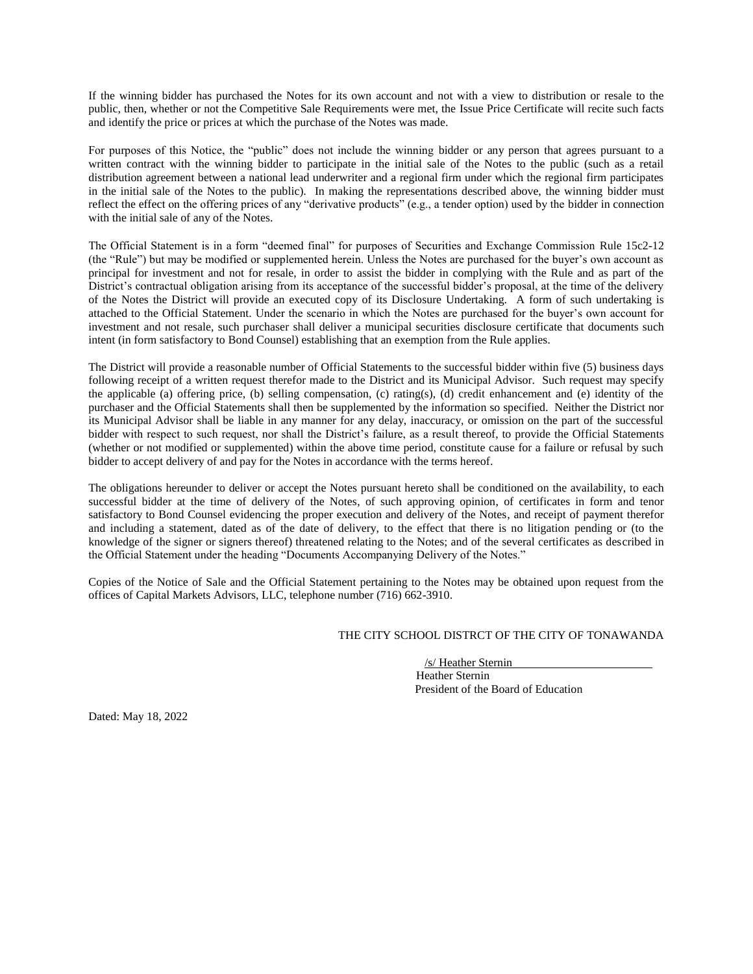If the winning bidder has purchased the Notes for its own account and not with a view to distribution or resale to the public, then, whether or not the Competitive Sale Requirements were met, the Issue Price Certificate will recite such facts and identify the price or prices at which the purchase of the Notes was made.

For purposes of this Notice, the "public" does not include the winning bidder or any person that agrees pursuant to a written contract with the winning bidder to participate in the initial sale of the Notes to the public (such as a retail distribution agreement between a national lead underwriter and a regional firm under which the regional firm participates in the initial sale of the Notes to the public). In making the representations described above, the winning bidder must reflect the effect on the offering prices of any "derivative products" (e.g., a tender option) used by the bidder in connection with the initial sale of any of the Notes.

The Official Statement is in a form "deemed final" for purposes of Securities and Exchange Commission Rule 15c2-12 (the "Rule") but may be modified or supplemented herein. Unless the Notes are purchased for the buyer's own account as principal for investment and not for resale, in order to assist the bidder in complying with the Rule and as part of the District's contractual obligation arising from its acceptance of the successful bidder's proposal, at the time of the delivery of the Notes the District will provide an executed copy of its Disclosure Undertaking. A form of such undertaking is attached to the Official Statement. Under the scenario in which the Notes are purchased for the buyer's own account for investment and not resale, such purchaser shall deliver a municipal securities disclosure certificate that documents such intent (in form satisfactory to Bond Counsel) establishing that an exemption from the Rule applies.

The District will provide a reasonable number of Official Statements to the successful bidder within five (5) business days following receipt of a written request therefor made to the District and its Municipal Advisor. Such request may specify the applicable (a) offering price, (b) selling compensation, (c) rating(s), (d) credit enhancement and (e) identity of the purchaser and the Official Statements shall then be supplemented by the information so specified. Neither the District nor its Municipal Advisor shall be liable in any manner for any delay, inaccuracy, or omission on the part of the successful bidder with respect to such request, nor shall the District's failure, as a result thereof, to provide the Official Statements (whether or not modified or supplemented) within the above time period, constitute cause for a failure or refusal by such bidder to accept delivery of and pay for the Notes in accordance with the terms hereof.

The obligations hereunder to deliver or accept the Notes pursuant hereto shall be conditioned on the availability, to each successful bidder at the time of delivery of the Notes, of such approving opinion, of certificates in form and tenor satisfactory to Bond Counsel evidencing the proper execution and delivery of the Notes, and receipt of payment therefor and including a statement, dated as of the date of delivery, to the effect that there is no litigation pending or (to the knowledge of the signer or signers thereof) threatened relating to the Notes; and of the several certificates as described in the Official Statement under the heading "Documents Accompanying Delivery of the Notes."

Copies of the Notice of Sale and the Official Statement pertaining to the Notes may be obtained upon request from the offices of Capital Markets Advisors, LLC, telephone number (716) 662-3910.

#### THE CITY SCHOOL DISTRCT OF THE CITY OF TONAWANDA

/s/ Heather Sternin Heather Sternin President of the Board of Education

Dated: May 18, 2022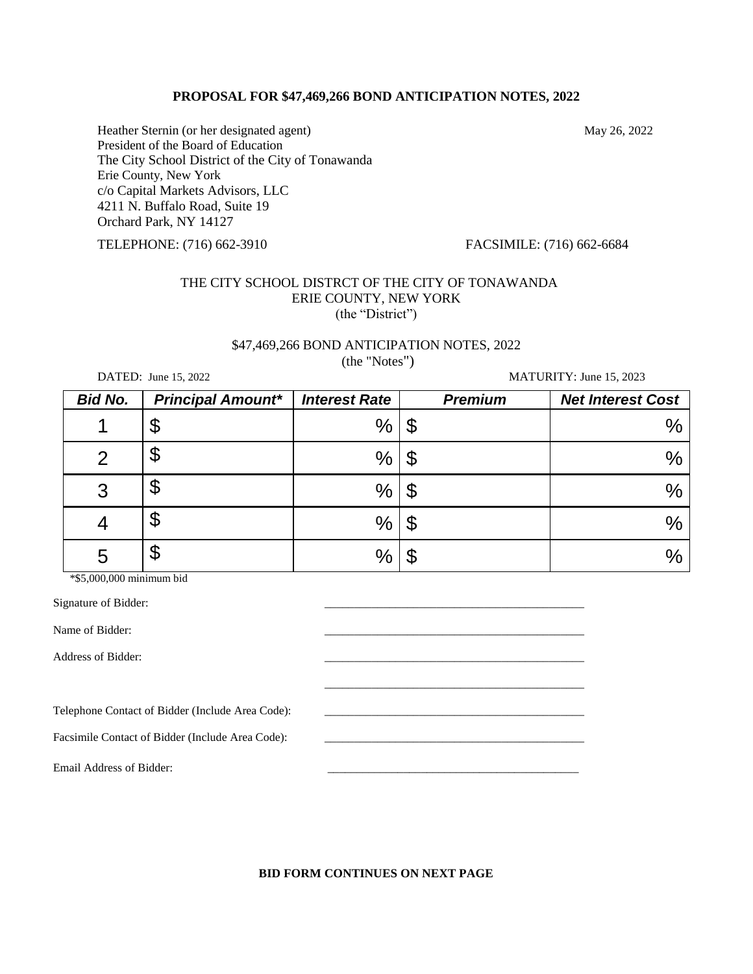### **PROPOSAL FOR \$47,469,266 BOND ANTICIPATION NOTES, 2022**

Heather Sternin (or her designated agent) May 26, 2022 President of the Board of Education The City School District of the City of Tonawanda Erie County, New York c/o Capital Markets Advisors, LLC 4211 N. Buffalo Road, Suite 19 Orchard Park, NY 14127

TELEPHONE: (716) 662-3910 FACSIMILE: (716) 662-6684

# THE CITY SCHOOL DISTRCT OF THE CITY OF TONAWANDA ERIE COUNTY, NEW YORK (the "District")

# \$47,469,266 BOND ANTICIPATION NOTES, 2022

(the "Notes")

DATED: June 15, 2022 MATURITY: June 15, 2023

| <b>Bid No.</b> | <b>Principal Amount*</b> | <b>Interest Rate</b> | <b>Premium</b> | <b>Net Interest Cost</b> |
|----------------|--------------------------|----------------------|----------------|--------------------------|
|                | \$                       | %                    | œ<br>ง         | $\%$                     |
|                | \$                       | $\%$                 | \$             | $\%$                     |
| 3              | \$                       | $\%$                 | \$             | $\%$                     |
|                | \$                       | %                    | \$             | $\%$                     |
| 5              | \$                       | $\%$                 |                | $\%$                     |

\*\$5,000,000 minimum bid

Signature of Bidder:

Name of Bidder:

Address of Bidder:

Telephone Contact of Bidder (Include Area Code):

Facsimile Contact of Bidder (Include Area Code):

Email Address of Bidder:

## **BID FORM CONTINUES ON NEXT PAGE**

\_\_\_\_\_\_\_\_\_\_\_\_\_\_\_\_\_\_\_\_\_\_\_\_\_\_\_\_\_\_\_\_\_\_\_\_\_\_\_\_\_\_\_\_